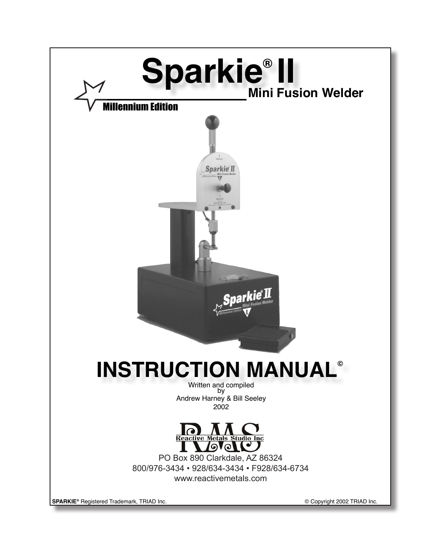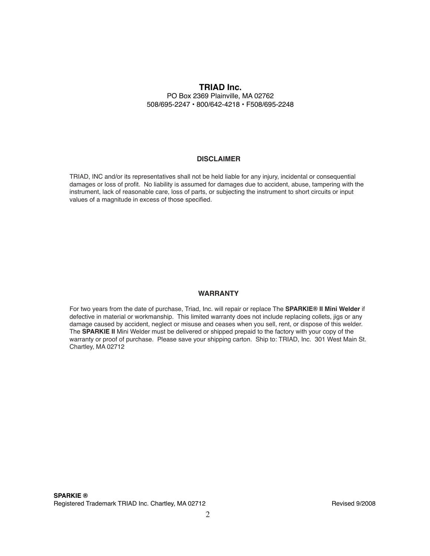## **TRIAD Inc.**

PO Box 2369 Plainville, MA 02762 508/695-2247 • 800/642-4218 • F508/695-2248

## **DISCLAIMER**

TRIAD, INC and/or its representatives shall not be held liable for any injury, incidental or consequential damages or loss of profit. No liability is assumed for damages due to accident, abuse, tampering with the instrument, lack of reasonable care, loss of parts, or subjecting the instrument to short circuits or input values of a magnitude in excess of those specified.

## **WARRANTY**

For two years from the date of purchase, Triad, Inc. will repair or replace The **SPARKIE® II Mini Welder** if defective in material or workmanship. This limited warranty does not include replacing collets, jigs or any damage caused by accident, neglect or misuse and ceases when you sell, rent, or dispose of this welder. The **SPARKIE II** Mini Welder must be delivered or shipped prepaid to the factory with your copy of the warranty or proof of purchase. Please save your shipping carton. Ship to: TRIAD, Inc. 301 West Main St. Chartley, MA 02712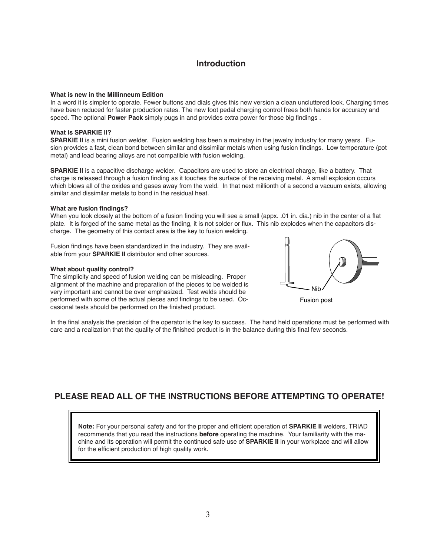## **Introduction**

## **What is new in the Millinneum Edition**

In a word it is simpler to operate. Fewer buttons and dials gives this new version a clean uncluttered look. Charging times have been reduced for faster production rates. The new foot pedal charging control frees both hands for accuracy and speed. The optional **Power Pack** simply pugs in and provides extra power for those big findings .

### **What is SPARKIE II?**

**SPARKIE II** is a mini fusion welder. Fusion welding has been a mainstay in the jewelry industry for many years. Fusion provides a fast, clean bond between similar and dissimilar metals when using fusion findings. Low temperature (pot metal) and lead bearing alloys are not compatible with fusion welding.

**SPARKIE II** is a capacitive discharge welder. Capacitors are used to store an electrical charge, like a battery. That charge is released through a fusion finding as it touches the surface of the receiving metal. A small explosion occurs which blows all of the oxides and gases away from the weld. In that next millionth of a second a vacuum exists, allowing similar and dissimilar metals to bond in the residual heat.

### **What are fusion findings?**

When you look closely at the bottom of a fusion finding you will see a small (appx. .01 in. dia.) nib in the center of a flat plate. It is forged of the same metal as the finding, it is not solder or flux. This nib explodes when the capacitors discharge. The geometry of this contact area is the key to fusion welding.

Fusion findings have been standardized in the industry. They are available from your **SPARKIE II** distributor and other sources.

### **What about quality control?**

The simplicity and speed of fusion welding can be misleading. Proper alignment of the machine and preparation of the pieces to be welded is very important and cannot be over emphasized. Test welds should be performed with some of the actual pieces and findings to be used. Occasional tests should be performed on the finished product.



Fusion post

In the final analysis the precision of the operator is the key to success. The hand held operations must be performed with care and a realization that the quality of the finished product is in the balance during this final few seconds.

## **PLEASE READ ALL OF THE INSTRUCTIONS BEFORE ATTEMPTING TO OPERATE!**

**Note:** For your personal safety and for the proper and efficient operation of **SPARKIE II** welders, TRIAD recommends that you read the instructions **before** operating the machine. Your familiarity with the machine and its operation will permit the continued safe use of **SPARKIE II** in your workplace and will allow for the efficient production of high quality work.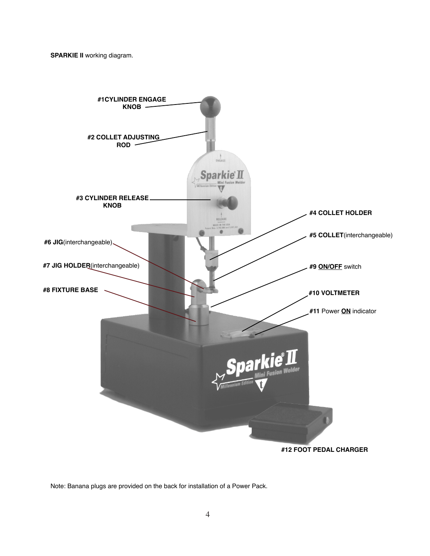**SPARKIE II** working diagram.



Note: Banana plugs are provided on the back for installation of a Power Pack.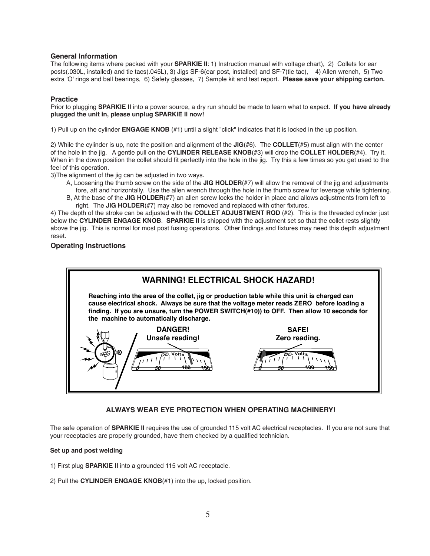## **General Information**

The following items where packed with your **SPARKIE II**: 1) Instruction manual with voltage chart), 2) Collets for ear posts(.030L, installed) and tie tacs(.045L), 3) Jigs SF-6(ear post, installed) and SF-7(tie tac), 4) Allen wrench, 5) Two extra 'O' rings and ball bearings, 6) Safety glasses, 7) Sample kit and test report. **Please save your shipping carton.**

## **Practice**

Prior to plugging **SPARKIE II** into a power source, a dry run should be made to learn what to expect. **If you have already plugged the unit in, please unplug SPARKIE II now!**

1) Pull up on the cylinder **ENGAGE KNOB** (#1) until a slight "click" indicates that it is locked in the up position.

2) While the cylinder is up, note the position and alignment of the **JIG**(#6). The **COLLET**(#5) must align with the center of the hole in the jig. A gentle pull on the **CYLINDER RELEASE KNOB**(#3) will drop the **COLLET HOLDER**(#4). Try it. When in the down position the collet should fit perfectly into the hole in the jig. Try this a few times so you get used to the feel of this operation.

3)The alignment of the jig can be adjusted in two ways.

- A, Loosening the thumb screw on the side of the **JIG HOLDER**(#7) will allow the removal of the jig and adjustments fore, aft and horizontally. Use the allen wrench through the hole in the thumb screw for leverage while tightening.
- B, At the base of the **JIG HOLDER**(#7) an allen screw locks the holder in place and allows adjustments from left to right. The **JIG HOLDER**(#7) may also be removed and replaced with other fixtures.

4) The depth of the stroke can be adjusted with the **COLLET ADJUSTMENT ROD** (#2). This is the threaded cylinder just below the **CYLINDER ENGAGE KNOB**. **SPARKIE II** is shipped with the adjustment set so that the collet rests slightly above the jig. This is normal for most post fusing operations. Other findings and fixtures may need this depth adjustment reset.

## **Operating Instructions**



## **ALWAYS WEAR EYE PROTECTION WHEN OPERATING MACHINERY!**

The safe operation of **SPARKIE II** requires the use of grounded 115 volt AC electrical receptacles. If you are not sure that your receptacles are properly grounded, have them checked by a qualified technician.

## **Set up and post welding**

1) First plug **SPARKIE II** into a grounded 115 volt AC receptacle.

2) Pull the **CYLINDER ENGAGE KNOB**(#1) into the up, locked position.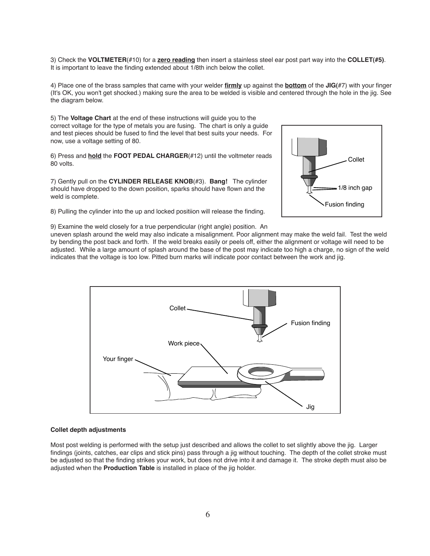3) Check the **VOLTMETER**(#10) for a **zero reading** then insert a stainless steel ear post part way into the **COLLET(#5)**. It is important to leave the finding extended about 1/8th inch below the collet.

4) Place one of the brass samples that came with your welder **firmly** up against the **bottom** of the **JIG(**#7) with your finger (It's OK, you won't get shocked.) making sure the area to be welded is visible and centered through the hole in the jig. See the diagram below.

5) The **Voltage Chart** at the end of these instructions will guide you to the correct voltage for the type of metals you are fusing. The chart is only a guide and test pieces should be fused to find the level that best suits your needs. For now, use a voltage setting of 80.

6) Press and **hold** the **FOOT PEDAL CHARGER**(#12) until the voltmeter reads 80 volts.

7) Gently pull on the **CYLINDER RELEASE KNOB**(#3). **Bang!** The cylinder should have dropped to the down position, sparks should have flown and the weld is complete.

8) Pulling the cylinder into the up and locked positiion will release the finding.



9) Examine the weld closely for a true perpendicular (right angle) position. An uneven splash around the weld may also indicate a misalignment. Poor alignment may make the weld fail. Test the weld by bending the post back and forth. If the weld breaks easily or peels off, either the alignment or voltage will need to be adjusted. While a large amount of splash around the base of the post may indicate too high a charge, no sign of the weld indicates that the voltage is too low. Pitted burn marks will indicate poor contact between the work and jig.



#### **Collet depth adjustments**

Most post welding is performed with the setup just described and allows the collet to set slightly above the jig. Larger findings (joints, catches, ear clips and stick pins) pass through a jig without touching. The depth of the collet stroke must be adjusted so that the finding strikes your work, but does not drive into it and damage it. The stroke depth must also be adjusted when the **Production Table** is installed in place of the jig holder.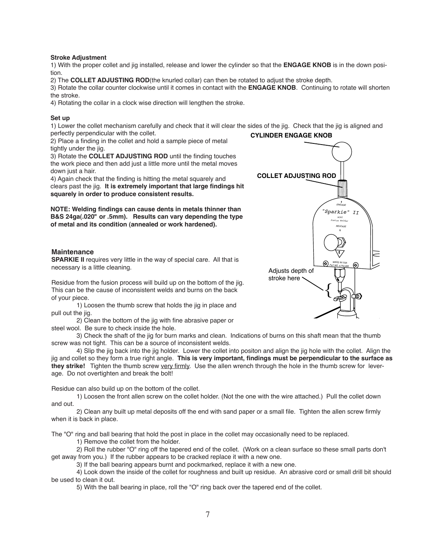## **Stroke Adjustment**

1) With the proper collet and jig installed, release and lower the cylinder so that the **ENGAGE KNOB** is in the down position.

2) The **COLLET ADJUSTING ROD**(the knurled collar) can then be rotated to adjust the stroke depth.

3) Rotate the collar counter clockwise until it comes in contact with the **ENGAGE KNOB**. Continuing to rotate will shorten the stroke.

4) Rotating the collar in a clock wise direction will lengthen the stroke.

### **Set up**

**CYLINDER ENGAGE KNOB** 1) Lower the collet mechanism carefully and check that it will clear the sides of the jig. Check that the jig is aligned and perfectly perpendicular with the collet.

2) Place a finding in the collet and hold a sample piece of metal tightly under the jig.

3) Rotate the **COLLET ADJUSTING ROD** until the finding touches the work piece and then add just a little more until the metal moves down just a hair.

4) Again check that the finding is hitting the metal squarely and clears past the jig. **It is extremely important that large findings hit squarely in order to produce consistent results.**

**NOTE: Welding findings can cause dents in metals thinner than B&S 24ga(.020" or .5mm). Results can vary depending the type of metal and its condition (annealed or work hardened).**

### **Maintenance**

**SPARKIE II** requires very little in the way of special care. All that is necessary is a little cleaning.

Residue from the fusion process will build up on the bottom of the jig. This can be the cause of inconsistent welds and burns on the back of your piece.

1) Loosen the thumb screw that holds the jig in place and pull out the jig.

2) Clean the bottom of the jig with fine abrasive paper or steel wool. Be sure to check inside the hole.

3) Check the shaft of the jig for burn marks and clean. Indications of burns on this shaft mean that the thumb screw was not tight. This can be a source of inconsistent welds.

4) Slip the jig back into the jig holder. Lower the collet into positon and align the jig hole with the collet. Align the **they strike!** Tighten the thumb screw <u>very firmly</u>. Use the allen wrench through the hole in the thumb screw for lever-3 jig and collet so they form a true right angle. **This is very important, findings must be perpendicular to the surface as**  age. Do not overtighten and break the bolt!

Residue can also build up on the bottom of the collet.

1) Loosen the front allen screw on the collet holder. (Not the one with the wire attached.) Pull the collet down and out.

2) Clean any built up metal deposits off the end with sand paper or a small file. Tighten the allen screw firmly when it is back in place.

The "O" ring and ball bearing that hold the post in place in the collet may occasionally need to be replaced.

1) Remove the collet from the holder.

2) Roll the rubber "O" ring off the tapered end of the collet. (Work on a clean surface so these small parts don't get away from you.) If the rubber appears to be cracked replace it with a new one.

3) If the ball bearing appears burnt and pockmarked, replace it with a new one.

4) Look down the inside of the collet for roughness and built up residue. An abrasive cord or small drill bit should be used to clean it out.

5) With the ball bearing in place, roll the "O" ring back over the tapered end of the collet.

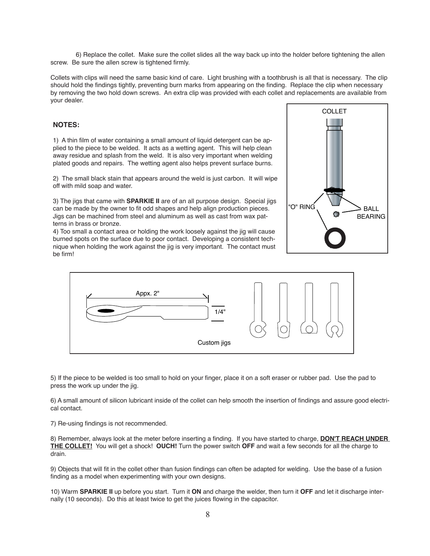6) Replace the collet. Make sure the collet slides all the way back up into the holder before tightening the allen screw. Be sure the allen screw is tightened firmly.

Collets with clips will need the same basic kind of care. Light brushing with a toothbrush is all that is necessary. The clip should hold the findings tightly, preventing burn marks from appearing on the finding. Replace the clip when necessary by removing the two hold down screws. An extra clip was provided with each collet and replacements are available from your dealer.

### **NOTES:**

1) A thin film of water containing a small amount of liquid detergent can be applied to the piece to be welded. It acts as a wetting agent. This will help clean away residue and splash from the weld. It is also very important when welding plated goods and repairs. The wetting agent also helps prevent surface burns.

2) The small black stain that appears around the weld is just carbon. It will wipe off with mild soap and water.

3) The jigs that came with **SPARKIE II** are of an all purpose design. Special jigs can be made by the owner to fit odd shapes and help align production pieces. Jigs can be machined from steel and aluminum as well as cast from wax patterns in brass or bronze.

4) Too small a contact area or holding the work loosely against the jig will cause burned spots on the surface due to poor contact. Developing a consistent technique when holding the work against the jig is very important. The contact must be firm!





5) If the piece to be welded is too small to hold on your finger, place it on a soft eraser or rubber pad. Use the pad to press the work up under the jig.

6) A small amount of silicon lubricant inside of the collet can help smooth the insertion of findings and assure good electrical contact.

7) Re-using findings is not recommended.

8) Remember, always look at the meter before inserting a finding. If you have started to charge, **DON'T REACH UNDER THE COLLET!** You will get a shock! **OUCH!** Turn the power switch **OFF** and wait a few seconds for all the charge to drain.

9) Objects that will fit in the collet other than fusion findings can often be adapted for welding. Use the base of a fusion finding as a model when experimenting with your own designs.

10) Warm **SPARKIE II** up before you start. Turn it **ON** and charge the welder, then turn it **OFF** and let it discharge internally (10 seconds). Do this at least twice to get the juices flowing in the capacitor.